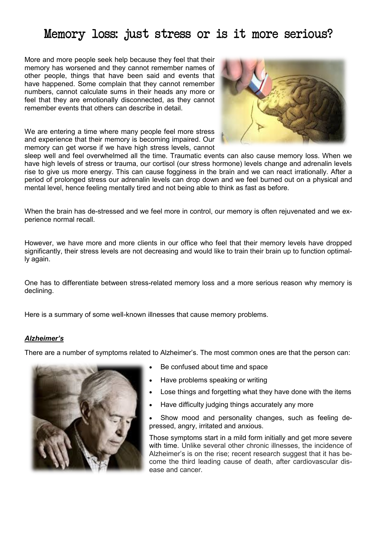## Memory loss: just stress or is it more serious?

More and more people seek help because they feel that their memory has worsened and they cannot remember names of other people, things that have been said and events that have happened. Some complain that they cannot remember numbers, cannot calculate sums in their heads any more or feel that they are emotionally disconnected, as they cannot remember events that others can describe in detail.

We are entering a time where many people feel more stress and experience that their memory is becoming impaired. Our memory can get worse if we have high stress levels, cannot



sleep well and feel overwhelmed all the time. Traumatic events can also cause memory loss. When we have high levels of stress or trauma, our cortisol (our stress hormone) levels change and adrenalin levels rise to give us more energy. This can cause fogginess in the brain and we can react irrationally. After a period of prolonged stress our adrenalin levels can drop down and we feel burned out on a physical and mental level, hence feeling mentally tired and not being able to think as fast as before.

When the brain has de-stressed and we feel more in control, our memory is often rejuvenated and we experience normal recall.

However, we have more and more clients in our office who feel that their memory levels have dropped significantly, their stress levels are not decreasing and would like to train their brain up to function optimally again.

One has to differentiate between stress-related memory loss and a more serious reason why memory is declining.

Here is a summary of some well-known illnesses that cause memory problems.

## *Alzheimer's*

There are a number of symptoms related to Alzheimer's. The most common ones are that the person can:



- Be confused about time and space
- Have problems speaking or writing
- Lose things and forgetting what they have done with the items
- Have difficulty judging things accurately any more
- Show mood and personality changes, such as feeling depressed, angry, irritated and anxious.

Those symptoms start in a mild form initially and get more severe with time. Unlike several other chronic illnesses, the incidence of Alzheimer's is on the rise; recent research suggest that it has become the third leading cause of death, after cardiovascular disease and cancer.